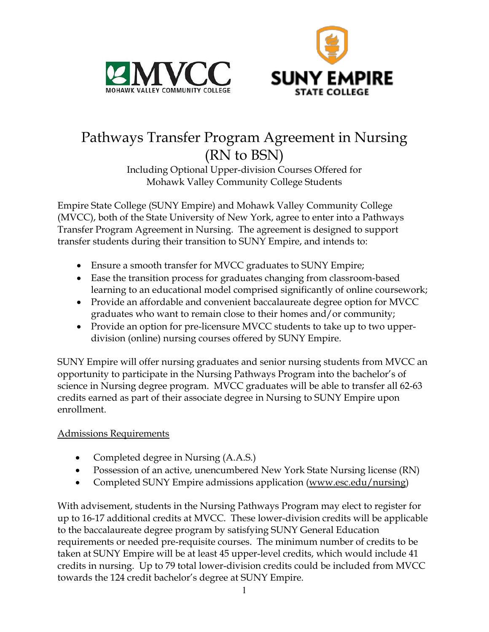



# Pathways Transfer Program Agreement in Nursing (RN to BSN)

Including Optional Upper-division Courses Offered for Mohawk Valley Community College Students

Empire State College (SUNY Empire) and Mohawk Valley Community College (MVCC), both of the State University of New York, agree to enter into a Pathways Transfer Program Agreement in Nursing. The agreement is designed to support transfer students during their transition to SUNY Empire, and intends to:

- Ensure a smooth transfer for MVCC graduates to SUNY Empire;
- Ease the transition process for graduates changing from classroom-based learning to an educational model comprised significantly of online coursework;
- Provide an affordable and convenient baccalaureate degree option for MVCC graduates who want to remain close to their homes and/or community;
- Provide an option for pre-licensure MVCC students to take up to two upperdivision (online) nursing courses offered by SUNY Empire.

SUNY Empire will offer nursing graduates and senior nursing students from MVCC an opportunity to participate in the Nursing Pathways Program into the bachelor's of science in Nursing degree program. MVCC graduates will be able to transfer all 62-63 credits earned as part of their associate degree in Nursing to SUNY Empire upon enrollment.

## Admissions Requirements

- Completed degree in Nursing (A.A.S.)
- Possession of an active, unencumbered New York State Nursing license (RN)
- Completed SUNY Empire admissions application (www.esc.edu/nursing)

With advisement, students in the Nursing Pathways Program may elect to register for up to 16-17 additional credits at MVCC. These lower-division credits will be applicable to the baccalaureate degree program by satisfying SUNY General Education requirements or needed pre-requisite courses. The minimum number of credits to be taken at SUNY Empire will be at least 45 upper-level credits, which would include 41 credits in nursing. Up to 79 total lower-division credits could be included from MVCC towards the 124 credit bachelor's degree at SUNY Empire.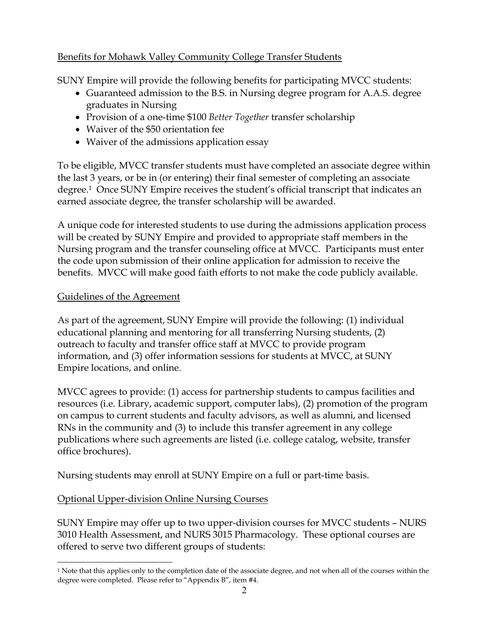## Benefits for Mohawk Valley Community College Transfer Students

SUNY Empire will provide the following benefits for participating MVCC students:

- Guaranteed admission to the B.S. in Nursing degree program for A.A.S. degree graduates in Nursing
- Provision of a one-time \$100 *Better Together* transfer scholarship
- Waiver of the \$50 orientation fee
- Waiver of the admissions application essay

To be eligible, MVCC transfer students must have completed an associate degree within the last 3 years, or be in (or entering) their final semester of completing an associate degree.1 Once SUNY Empire receives the student's official transcript that indicates an earned associate degree, the transfer scholarship will be awarded.

A unique code for interested students to use during the admissions application process will be created by SUNY Empire and provided to appropriate staff members in the Nursing program and the transfer counseling office at MVCC. Participants must enter the code upon submission of their online application for admission to receive the benefits. MVCC will make good faith efforts to not make the code publicly available.

#### Guidelines of the Agreement

As part of the agreement, SUNY Empire will provide the following: (1) individual educational planning and mentoring for all transferring Nursing students, (2) outreach to faculty and transfer office staff at MVCC to provide program information, and (3) offer information sessions for students at MVCC, at SUNY Empire locations, and online.

MVCC agrees to provide: (1) access for partnership students to campus facilities and resources (i.e. Library, academic support, computer labs), (2) promotion of the program on campus to current students and faculty advisors, as well as alumni, and licensed RNs in the community and (3) to include this transfer agreement in any college publications where such agreements are listed (i.e. college catalog, website, transfer office brochures).

Nursing students may enroll at SUNY Empire on a full or part-time basis.

#### Optional Upper-division Online Nursing Courses

SUNY Empire may offer up to two upper-division courses for MVCC students – NURS 3010 Health Assessment, and NURS 3015 Pharmacology. These optional courses are offered to serve two different groups of students:

<sup>1</sup> Note that this applies only to the completion date of the associate degree, and not when all of the courses within the degree were completed. Please refer to "Appendix B", item #4.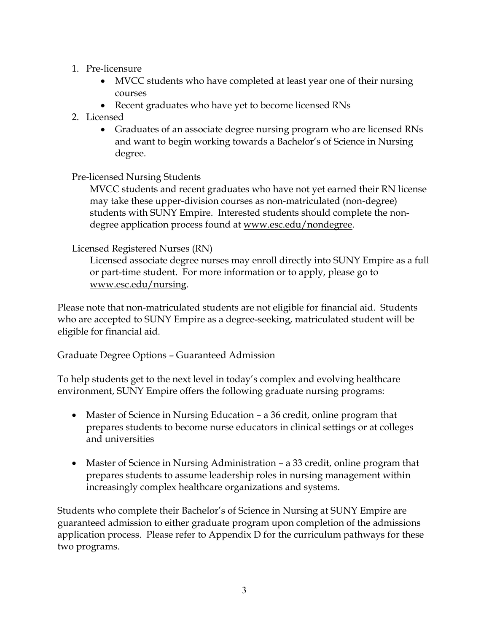#### 1. Pre-licensure

- MVCC students who have completed at least year one of their nursing courses
- Recent graduates who have yet to become licensed RNs
- 2. Licensed
	- Graduates of an associate degree nursing program who are licensed RNs and want to begin working towards a Bachelor's of Science in Nursing degree.

## Pre-licensed Nursing Students

MVCC students and recent graduates who have not yet earned their RN license may take these upper-division courses as non-matriculated (non-degree) students with SUNY Empire. Interested students should complete the nondegree application process found at www.esc.edu/nondegree.

## Licensed Registered Nurses (RN)

Licensed associate degree nurses may enroll directly into SUNY Empire as a full or part-time student. For more information or to apply, please go to www.esc.edu/nursing.

Please note that non-matriculated students are not eligible for financial aid. Students who are accepted to SUNY Empire as a degree-seeking, matriculated student will be eligible for financial aid.

## Graduate Degree Options – Guaranteed Admission

To help students get to the next level in today's complex and evolving healthcare environment, SUNY Empire offers the following graduate nursing programs:

- Master of Science in Nursing Education a 36 credit, online program that prepares students to become nurse educators in clinical settings or at colleges and universities
- Master of Science in Nursing Administration a 33 credit, online program that prepares students to assume leadership roles in nursing management within increasingly complex healthcare organizations and systems.

Students who complete their Bachelor's of Science in Nursing at SUNY Empire are guaranteed admission to either graduate program upon completion of the admissions application process. Please refer to Appendix D for the curriculum pathways for these two programs.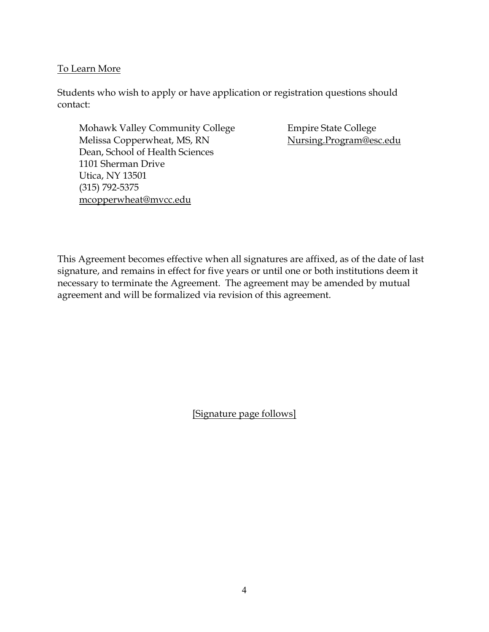#### To Learn More

Students who wish to apply or have application or registration questions should contact:

Mohawk Valley Community College Empire State College Melissa Copperwheat, MS, RN Nursing.Program@esc.edu Dean, School of Health Sciences 1101 Sherman Drive Utica, NY 13501 (315) 792-5375 mcopperwheat@mvcc.edu

This Agreement becomes effective when all signatures are affixed, as of the date of last signature, and remains in effect for five years or until one or both institutions deem it necessary to terminate the Agreement. The agreement may be amended by mutual agreement and will be formalized via revision of this agreement.

[Signature page follows]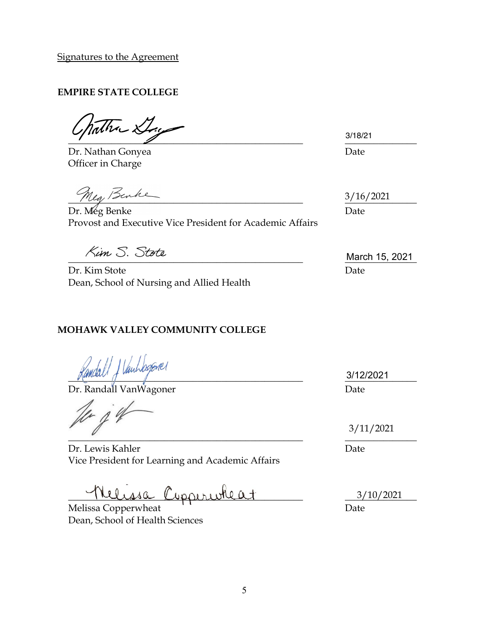Signatures to the Agreement

## **EMPIRE STATE COLLEGE**

 $\frac{3110721}{2}$ 

Dr. Nathan Gonyea **Date** Officer in Charge

Meg, Benke

Dr. Meg Benke Date Provost and Executive Vice President for Academic Affairs

Dr. Kim Stote Date Dean, School of Nursing and Allied Health

## **MOHAWK VALLEY COMMUNITY COLLEGE**

 $\frac{3}{1222021}$ 

Dr. Randall VanWagoner Date

 $\Lambda$  $\overline{\phantom{a}}$ 

Dr. Lewis Kahler Date Vice President for Learning and Academic Affairs

elissa Cippiriokeat

Melissa Copperwheat **Date** Date Dean, School of Health Sciences

3/18/21

3/16/2021

 $\frac{1}{2}$  March 15, 2021

3/12/2021

3/11/2021

3/10/2021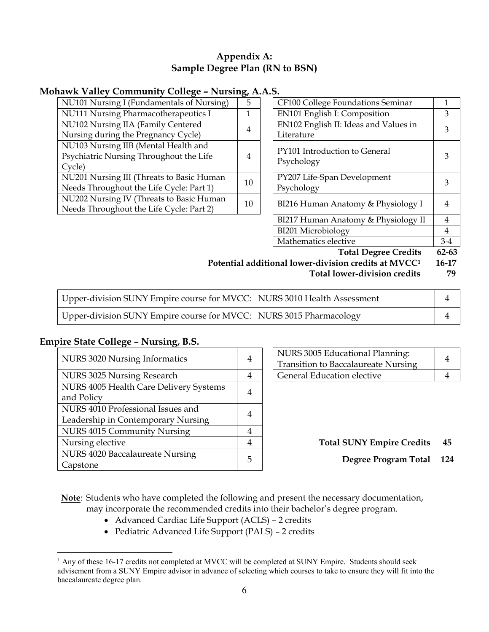#### **Appendix A: Sample Degree Plan (RN to BSN)**

#### **Mohawk Valley Community College – Nursing, A.A.S.**

| NU101 Nursing I (Fundamentals of Nursing)                                                 | 5  | CF100 College Foundations Seminar           |   |
|-------------------------------------------------------------------------------------------|----|---------------------------------------------|---|
| NU111 Nursing Pharmacotherapeutics I                                                      |    | <b>EN101 English I: Composition</b>         | 3 |
| NU102 Nursing IIA (Family Centered                                                        | 4  | EN102 English II: Ideas and Values in       | 3 |
| Nursing during the Pregnancy Cycle)                                                       |    | Literature                                  |   |
| NU103 Nursing IIB (Mental Health and<br>Psychiatric Nursing Throughout the Life<br>Cycle) | 4  | PY101 Introduction to General<br>Psychology | 3 |
| NU201 Nursing III (Threats to Basic Human<br>Needs Throughout the Life Cycle: Part 1)     | 10 | PY207 Life-Span Development<br>Psychology   | 3 |
| NU202 Nursing IV (Threats to Basic Human<br>Needs Throughout the Life Cycle: Part 2)      | 10 | BI216 Human Anatomy & Physiology I          | 4 |

|                | <b>Total Degree Credits</b>                         | 62-63 |
|----------------|-----------------------------------------------------|-------|
|                | Mathematics elective                                | $3-4$ |
|                | BI201 Microbiology                                  | 4     |
|                | BI217 Human Anatomy & Physiology II                 | 4     |
| $\overline{0}$ | BI216 Human Anatomy & Physiology I                  | 4     |
| $\overline{0}$ | PY207 Life-Span Development<br>Psychology           | 3     |
| 4              | PY101 Introduction to General<br>Psychology         | 3     |
| 4              | EN102 English II: Ideas and Values in<br>Literature | 3     |
| $\overline{1}$ | EN101 English I: Composition                        | 3     |
| $\frac{2}{5}$  | CF100 College Foundations Seminar                   | 1     |
|                |                                                     |       |

## Potential additional lower-division credits at MVCC<sup>1</sup> 16-17

 **Total lower-division credits 79**

| Upper-division SUNY Empire course for MVCC: NURS 3010 Health Assessment |  |
|-------------------------------------------------------------------------|--|
| Upper-division SUNY Empire course for MVCC: NURS 3015 Pharmacology      |  |

#### **Empire State College – Nursing, B.S.**

| NURS 3020 Nursing Informatics                                           | 4 | NURS 3005 Educational Planning:<br><b>Transition to Baccalaureate Nursing</b> | $\overline{4}$ |
|-------------------------------------------------------------------------|---|-------------------------------------------------------------------------------|----------------|
| NURS 3025 Nursing Research                                              | 4 | General Education elective                                                    |                |
| NURS 4005 Health Care Delivery Systems<br>and Policy                    | 4 |                                                                               |                |
| NURS 4010 Professional Issues and<br>Leadership in Contemporary Nursing | 4 |                                                                               |                |
| NURS 4015 Community Nursing                                             | 4 |                                                                               |                |
| Nursing elective                                                        | 4 | <b>Total SUNY Empire Credits</b>                                              | 4!             |
| NURS 4020 Baccalaureate Nursing<br>Capstone                             | 5 | <b>Degree Program Total</b>                                                   | -12            |

| NURS 3005 Educational Planning:<br>Transition to Baccalaureate Nursing |  |
|------------------------------------------------------------------------|--|
| General Education elective                                             |  |

**Note**: Students who have completed the following and present the necessary documentation, may incorporate the recommended credits into their bachelor's degree program.

- Advanced Cardiac Life Support (ACLS) 2 credits
- Pediatric Advanced Life Support (PALS) 2 credits

<sup>&</sup>lt;sup>1</sup> Any of these 16-17 credits not completed at MVCC will be completed at SUNY Empire. Students should seek advisement from a SUNY Empire advisor in advance of selecting which courses to take to ensure they will fit into the baccalaureate degree plan.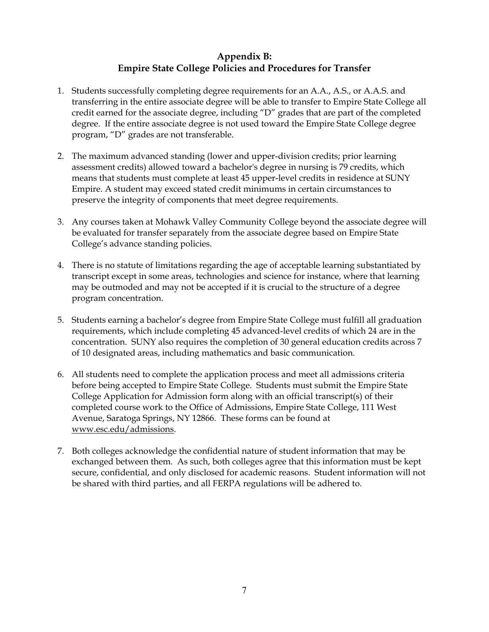#### **Appendix B: Empire State College Policies and Procedures for Transfer**

- 1. Students successfully completing degree requirements for an A.A., A.S., or A.A.S. and transferring in the entire associate degree will be able to transfer to Empire State College all credit earned for the associate degree, including "D" grades that are part of the completed degree. If the entire associate degree is not used toward the Empire State College degree program, "D" grades are not transferable.
- 2. The maximum advanced standing (lower and upper-division credits; prior learning assessment credits) allowed toward a bachelor's degree in nursing is 79 credits, which means that students must complete at least 45 upper-level credits in residence at SUNY Empire. A student may exceed stated credit minimums in certain circumstances to preserve the integrity of components that meet degree requirements.
- 3. Any courses taken at Mohawk Valley Community College beyond the associate degree will be evaluated for transfer separately from the associate degree based on Empire State College's advance standing policies.
- 4. There is no statute of limitations regarding the age of acceptable learning substantiated by transcript except in some areas, technologies and science for instance, where that learning may be outmoded and may not be accepted if it is crucial to the structure of a degree program concentration.
- 5. Students earning a bachelor's degree from Empire State College must fulfill all graduation requirements, which include completing 45 advanced-level credits of which 24 are in the concentration. SUNY also requires the completion of 30 general education credits across 7 of 10 designated areas, including mathematics and basic communication.
- 6. All students need to complete the application process and meet all admissions criteria before being accepted to Empire State College. Students must submit the Empire State College Application for Admission form along with an official transcript(s) of their completed course work to the Office of Admissions, Empire State College, 111 West Avenue, Saratoga Springs, NY 12866. These forms can be found at www.esc.edu/admissions.
- 7. Both colleges acknowledge the confidential nature of student information that may be exchanged between them. As such, both colleges agree that this information must be kept secure, confidential, and only disclosed for academic reasons. Student information will not be shared with third parties, and all FERPA regulations will be adhered to.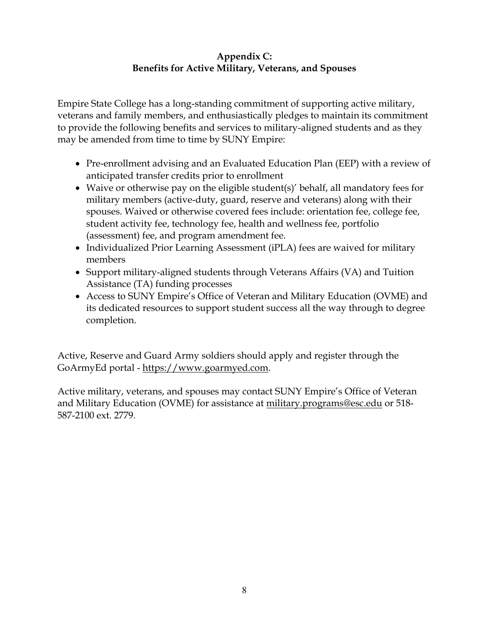#### **Appendix C: Benefits for Active Military, Veterans, and Spouses**

Empire State College has a long-standing commitment of supporting active military, veterans and family members, and enthusiastically pledges to maintain its commitment to provide the following benefits and services to military-aligned students and as they may be amended from time to time by SUNY Empire:

- Pre-enrollment advising and an Evaluated Education Plan (EEP) with a review of anticipated transfer credits prior to enrollment
- Waive or otherwise pay on the eligible student(s)' behalf, all mandatory fees for military members (active-duty, guard, reserve and veterans) along with their spouses. Waived or otherwise covered fees include: orientation fee, college fee, student activity fee, technology fee, health and wellness fee, portfolio (assessment) fee, and program amendment fee.
- Individualized Prior Learning Assessment (iPLA) fees are waived for military members
- Support military-aligned students through Veterans Affairs (VA) and Tuition Assistance (TA) funding processes
- Access to SUNY Empire's Office of Veteran and Military Education (OVME) and its dedicated resources to support student success all the way through to degree completion.

Active, Reserve and Guard Army soldiers should apply and register through the GoArmyEd portal - https://www.goarmyed.com.

Active military, veterans, and spouses may contact SUNY Empire's Office of Veteran and Military Education (OVME) for assistance at military.programs@esc.edu or 518- 587-2100 ext. 2779.